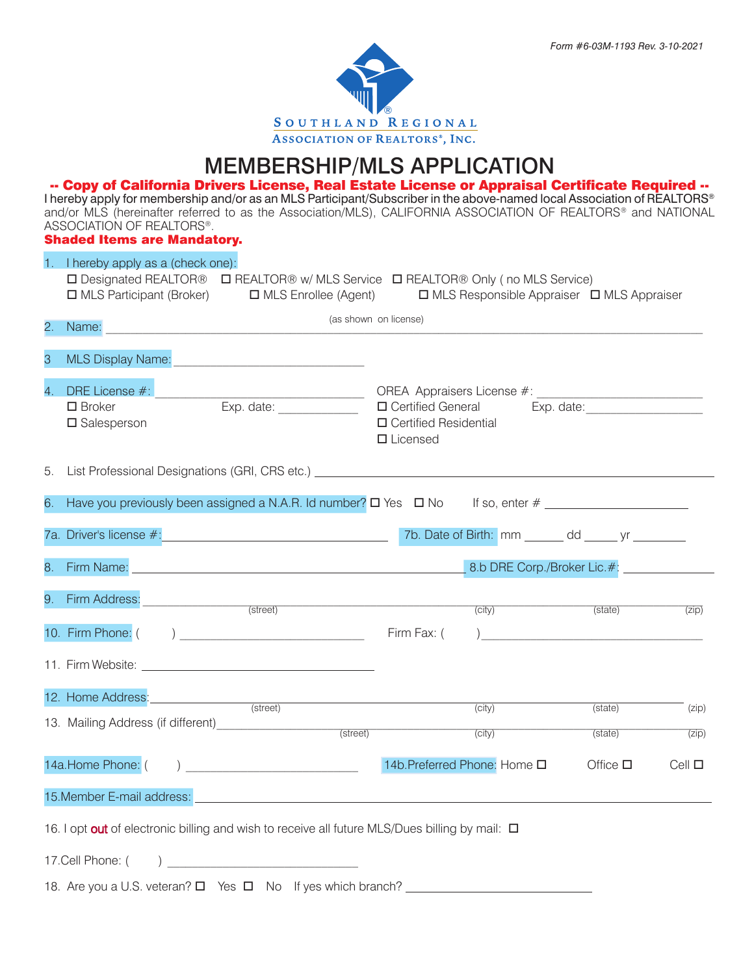# MEMBERSHIP/MLS APPLICATION

-- Copy of California Drivers License, Real Estate License or Appraisal Certificate Required -- I hereby apply for membership and/or as an MLS Participant/Subscriber in the above-named local Association of REALTORS® and/or MLS (hereinafter referred to as the Association/MLS), CALIFORNIA ASSOCIATION OF REALTORS® and NATIONAL ASSOCIATION OF REALTORS®.

Shaded Items are Mandatory.

|                  | 1. I hereby apply as a (check one):<br>□ Designated REALTOR® □ REALTOR® w/ MLS Service □ REALTOR® Only (no MLS Service)<br>□ MLS Participant (Broker)<br>$\Box$ MLS Responsible Appraiser $\Box$ MLS Appraiser<br>$\Box$ MLS Enrollee (Agent) |                                                                   |                                            |                  |                    |  |
|------------------|-----------------------------------------------------------------------------------------------------------------------------------------------------------------------------------------------------------------------------------------------|-------------------------------------------------------------------|--------------------------------------------|------------------|--------------------|--|
|                  |                                                                                                                                                                                                                                               |                                                                   |                                            |                  |                    |  |
| 2.               | (as shown on license)<br>Name: 2008 2009 2009 2010 2021 2022 2023 2024 2022 2023 2024 2022 2023 2024 2022 2023 2024 2022 2023 2024 2025                                                                                                       |                                                                   |                                            |                  |                    |  |
| 3                | <b>MLS Display Name:</b><br><u> 1980 - Jan Barnett, mars et al. (</u> † 1920)                                                                                                                                                                 |                                                                   |                                            |                  |                    |  |
| $\overline{4}$ . | $\square$ Broker<br>$\square$ Salesperson                                                                                                                                                                                                     | □ Certified General<br>□ Certified Residential<br>$\Box$ Licensed |                                            |                  |                    |  |
| 5.               | List Professional Designations (GRI, CRS etc.) _________________________________                                                                                                                                                              |                                                                   |                                            |                  |                    |  |
|                  |                                                                                                                                                                                                                                               |                                                                   |                                            |                  |                    |  |
|                  | 7a. Driver's license #: 1000 million and 200 million of Birth: mm and down yr and the state of Birth: mm and down yr and the state of Birth: mm and down yr and the state of Birth: mm and down yr and the state of Birth: mm                 |                                                                   |                                            |                  |                    |  |
|                  | 8. Firm Name: 2008 and 2008 and 2008 and 2008 and 2008 and 2008 and 2008 and 2008 and 2008 and 2008 and 2008 and 2008 and 2008 and 2008 and 2008 and 2008 and 2008 and 2008 and 2008 and 2008 and 2008 and 2008 and 2008 and 2                |                                                                   | 8.b DRE Corp./Broker Lic.#: ______________ |                  |                    |  |
|                  | 9. Firm Address: (street)                                                                                                                                                                                                                     |                                                                   | (city)                                     | (state)          | (zip)              |  |
|                  |                                                                                                                                                                                                                                               | Firm Fax: (                                                       |                                            |                  |                    |  |
|                  |                                                                                                                                                                                                                                               |                                                                   |                                            |                  |                    |  |
|                  | 12. Home Address: (street)                                                                                                                                                                                                                    |                                                                   | $\overline{(city)}$                        | (state)          | $^{-}$ (zip)       |  |
|                  |                                                                                                                                                                                                                                               |                                                                   | (city)                                     | (state)          | $\overline{(zip)}$ |  |
|                  | 14a.Home Phone: (                                                                                                                                                                                                                             |                                                                   | 14b. Preferred Phone: Home □               | Office $\square$ | $Cell$ $\square$   |  |
|                  | 15. Member E-mail address:                                                                                                                                                                                                                    |                                                                   |                                            |                  |                    |  |
|                  | 16. I opt out of electronic billing and wish to receive all future MLS/Dues billing by mail: $\Box$                                                                                                                                           |                                                                   |                                            |                  |                    |  |
|                  |                                                                                                                                                                                                                                               |                                                                   |                                            |                  |                    |  |
|                  |                                                                                                                                                                                                                                               |                                                                   |                                            |                  |                    |  |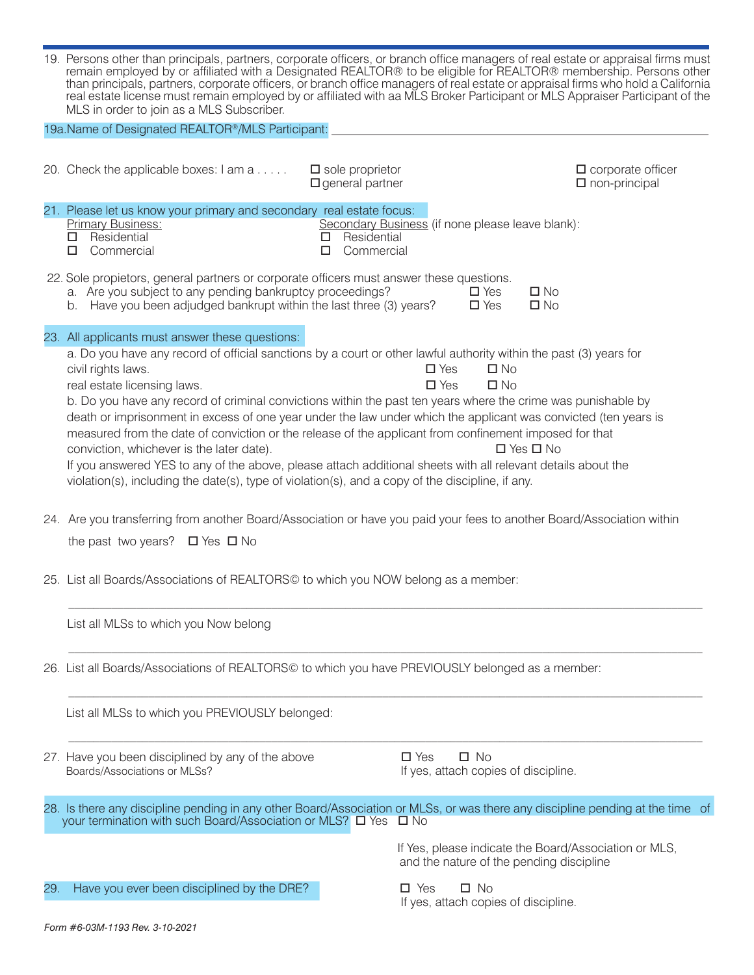| 19. Persons other than principals, partners, corporate officers, or branch office managers of real estate or appraisal firms must<br>remain employed by or affiliated with a Designated REALTOR® to be eligible for REALTOR® membership. Persons other<br>than principals, partners, corporate officers, or branch office managers of real estate or appraisal firms who hold a California<br>real estate license must remain employed by or affiliated with aa MLS Broker Participant or MLS Appraiser Participant of the<br>MLS in order to join as a MLS Subscriber. |
|-------------------------------------------------------------------------------------------------------------------------------------------------------------------------------------------------------------------------------------------------------------------------------------------------------------------------------------------------------------------------------------------------------------------------------------------------------------------------------------------------------------------------------------------------------------------------|
| 19a. Name of Designated REALTOR <sup>®</sup> /MLS Participant:                                                                                                                                                                                                                                                                                                                                                                                                                                                                                                          |

|                                                                                                                                                     | 20. Check the applicable boxes: I am a                                                                                                                                                                                                                                                                                                                                                                                                                                                                                                                                                                                                                                                                                                                                                                                                    | $\square$ sole proprietor<br>$\square$ general partner                                       | $\Box$ corporate officer<br>$\square$ non-principal   |  |  |                                                                                   |                                                                       |
|-----------------------------------------------------------------------------------------------------------------------------------------------------|-------------------------------------------------------------------------------------------------------------------------------------------------------------------------------------------------------------------------------------------------------------------------------------------------------------------------------------------------------------------------------------------------------------------------------------------------------------------------------------------------------------------------------------------------------------------------------------------------------------------------------------------------------------------------------------------------------------------------------------------------------------------------------------------------------------------------------------------|----------------------------------------------------------------------------------------------|-------------------------------------------------------|--|--|-----------------------------------------------------------------------------------|-----------------------------------------------------------------------|
|                                                                                                                                                     | 21. Please let us know your primary and secondary real estate focus:<br><b>Primary Business:</b><br>Residential<br>□<br>□<br>Commercial                                                                                                                                                                                                                                                                                                                                                                                                                                                                                                                                                                                                                                                                                                   | Secondary Business (if none please leave blank):<br>Residential<br>0<br>Commercial<br>$\Box$ |                                                       |  |  |                                                                                   |                                                                       |
|                                                                                                                                                     | 22. Sole propietors, general partners or corporate officers must answer these questions.<br>a. Are you subject to any pending bankruptcy proceedings?<br>$\square$ No<br>$\square$ Yes<br>b. Have you been adjudged bankrupt within the last three (3) years?<br>$\square$ No<br>$\square$ Yes                                                                                                                                                                                                                                                                                                                                                                                                                                                                                                                                            |                                                                                              |                                                       |  |  |                                                                                   |                                                                       |
|                                                                                                                                                     | 23. All applicants must answer these questions:<br>a. Do you have any record of official sanctions by a court or other lawful authority within the past (3) years for<br>civil rights laws.<br>real estate licensing laws.<br>b. Do you have any record of criminal convictions within the past ten years where the crime was punishable by<br>death or imprisonment in excess of one year under the law under which the applicant was convicted (ten years is<br>measured from the date of conviction or the release of the applicant from confinement imposed for that<br>conviction, whichever is the later date).<br>If you answered YES to any of the above, please attach additional sheets with all relevant details about the<br>violation(s), including the date(s), type of violation(s), and a copy of the discipline, if any. | $\square$ No<br>$\square$ Yes<br>$\square$ Yes<br>$\square$ No                               | □ Yes □ No                                            |  |  |                                                                                   |                                                                       |
|                                                                                                                                                     | 24. Are you transferring from another Board/Association or have you paid your fees to another Board/Association within<br>the past two years? $\Box$ Yes $\Box$ No                                                                                                                                                                                                                                                                                                                                                                                                                                                                                                                                                                                                                                                                        |                                                                                              |                                                       |  |  |                                                                                   |                                                                       |
|                                                                                                                                                     | 25. List all Boards/Associations of REALTORS© to which you NOW belong as a member:<br>List all MLSs to which you Now belong                                                                                                                                                                                                                                                                                                                                                                                                                                                                                                                                                                                                                                                                                                               |                                                                                              |                                                       |  |  |                                                                                   |                                                                       |
|                                                                                                                                                     |                                                                                                                                                                                                                                                                                                                                                                                                                                                                                                                                                                                                                                                                                                                                                                                                                                           |                                                                                              |                                                       |  |  |                                                                                   |                                                                       |
| 26. List all Boards/Associations of REALTORS© to which you have PREVIOUSLY belonged as a member:<br>List all MLSs to which you PREVIOUSLY belonged: |                                                                                                                                                                                                                                                                                                                                                                                                                                                                                                                                                                                                                                                                                                                                                                                                                                           |                                                                                              |                                                       |  |  |                                                                                   |                                                                       |
|                                                                                                                                                     |                                                                                                                                                                                                                                                                                                                                                                                                                                                                                                                                                                                                                                                                                                                                                                                                                                           |                                                                                              |                                                       |  |  | 27. Have you been disciplined by any of the above<br>Boards/Associations or MLSs? | $\square$ Yes<br>$\square$ No<br>If yes, attach copies of discipline. |
|                                                                                                                                                     | 28. Is there any discipline pending in any other Board/Association or MLSs, or was there any discipline pending at the time of<br>your termination with such Board/Association or MLS? □ Yes □ No                                                                                                                                                                                                                                                                                                                                                                                                                                                                                                                                                                                                                                         |                                                                                              |                                                       |  |  |                                                                                   |                                                                       |
|                                                                                                                                                     |                                                                                                                                                                                                                                                                                                                                                                                                                                                                                                                                                                                                                                                                                                                                                                                                                                           | and the nature of the pending discipline                                                     | If Yes, please indicate the Board/Association or MLS, |  |  |                                                                                   |                                                                       |
| 29.                                                                                                                                                 | Have you ever been disciplined by the DRE?                                                                                                                                                                                                                                                                                                                                                                                                                                                                                                                                                                                                                                                                                                                                                                                                | $\square$ No<br>$\Box$ Yes<br>If yes, attach copies of discipline.                           |                                                       |  |  |                                                                                   |                                                                       |
|                                                                                                                                                     | Form #6-03M-1193 Rev. 3-10-2021                                                                                                                                                                                                                                                                                                                                                                                                                                                                                                                                                                                                                                                                                                                                                                                                           |                                                                                              |                                                       |  |  |                                                                                   |                                                                       |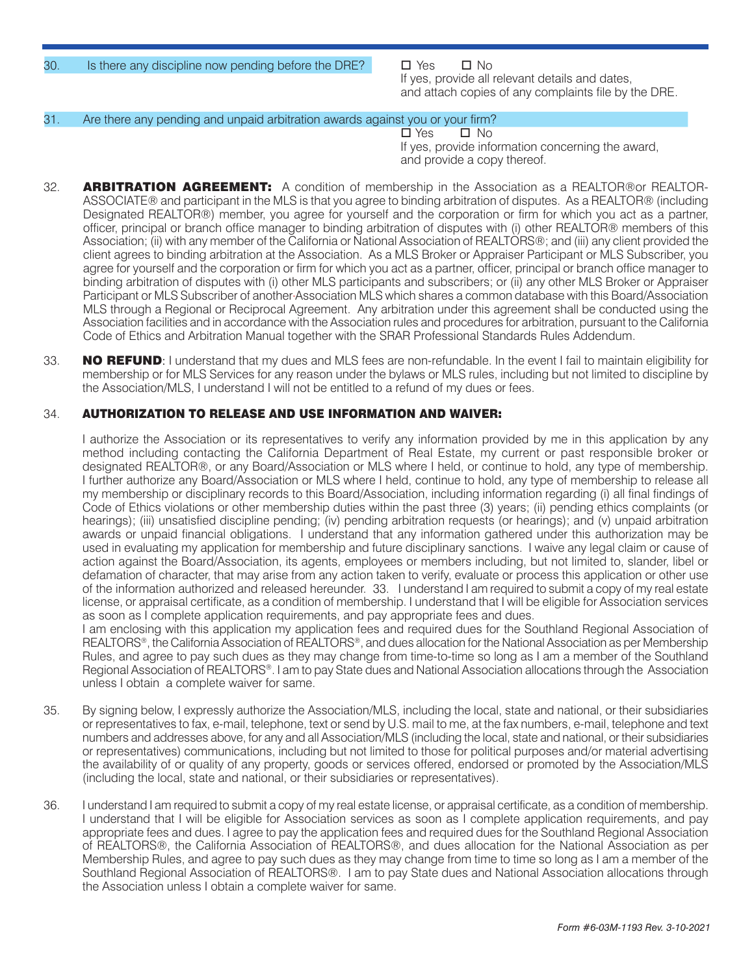30. Is there any discipline now pending before the DRE?  $\Box$  Yes  $\Box$  No

 If yes, provide all relevant details and dates, and attach copies of any complaints file by the DRE.

## 31. Are there any pending and unpaid arbitration awards against you or your firm?

Notes and the set of the set of the set of the set of the set of the set of the set of the set of the set of the set of the set of the set of the set of the set of the set of the set of the set of the set of the set of th If yes, provide information concerning the award. and provide a copy thereof.

- 32. **ARBITRATION AGREEMENT:** A condition of membership in the Association as a REALTOR®or REALTOR-ASSOCIATE® and participant in the MLS is that you agree to binding arbitration of disputes. As a REALTOR® (including Designated REALTOR®) member, you agree for yourself and the corporation or firm for which you act as a partner, officer, principal or branch office manager to binding arbitration of disputes with (i) other REALTOR® members of this Association; (ii) with any member of the California or National Association of REALTORS®; and (iii) any client provided the client agrees to binding arbitration at the Association. As a MLS Broker or Appraiser Participant or MLS Subscriber, you agree for yourself and the corporation or firm for which you act as a partner, officer, principal or branch office manager to binding arbitration of disputes with (i) other MLS participants and subscribers; or (ii) any other MLS Broker or Appraiser Participant or MLS Subscriber of another Association MLS which shares a common database with this Board/Association MLS through a Regional or Reciprocal Agreement. Any arbitration under this agreement shall be conducted using the Association facilities and in accordance with the Association rules and procedures for arbitration, pursuant to the California Code of Ethics and Arbitration Manual together with the SRAR Professional Standards Rules Addendum.
- 33. NO REFUND: I understand that my dues and MLS fees are non-refundable. In the event I fail to maintain eligibility for membership or for MLS Services for any reason under the bylaws or MLS rules, including but not limited to discipline by the Association/MLS, I understand I will not be entitled to a refund of my dues or fees.

# 34. AUTHORIZATION TO RELEASE AND USE INFORMATION AND WAIVER:

I authorize the Association or its representatives to verify any information provided by me in this application by any method including contacting the California Department of Real Estate, my current or past responsible broker or designated REALTOR®, or any Board/Association or MLS where I held, or continue to hold, any type of membership. I further authorize any Board/Association or MLS where I held, continue to hold, any type of membership to release all my membership or disciplinary records to this Board/Association, including information regarding (i) all final findings of Code of Ethics violations or other membership duties within the past three (3) years; (ii) pending ethics complaints (or hearings); (iii) unsatisfied discipline pending; (iv) pending arbitration requests (or hearings); and (v) unpaid arbitration awards or unpaid financial obligations. I understand that any information gathered under this authorization may be used in evaluating my application for membership and future disciplinary sanctions. I waive any legal claim or cause of action against the Board/Association, its agents, employees or members including, but not limited to, slander, libel or defamation of character, that may arise from any action taken to verify, evaluate or process this application or other use of the information authorized and released hereunder. 33. I understand I am required to submit a copy of my real estate license, or appraisal certificate, as a condition of membership. I understand that I will be eligible for Association services as soon as I complete application requirements, and pay appropriate fees and dues.

I am enclosing with this application my application fees and required dues for the Southland Regional Association of REALTORS®, the California Association of REALTORS®, and dues allocation for the National Association as per Membership Rules, and agree to pay such dues as they may change from time-to-time so long as I am a member of the Southland Regional Association of REALTORS®. I am to pay State dues and National Association allocations through the Association unless I obtain a complete waiver for same.

- 35. By signing below, I expressly authorize the Association/MLS, including the local, state and national, or their subsidiaries or representatives to fax, e-mail, telephone, text or send by U.S. mail to me, at the fax numbers, e-mail, telephone and text numbers and addresses above, for any and all Association/MLS (including the local, state and national, or their subsidiaries or representatives) communications, including but not limited to those for political purposes and/or material advertising the availability of or quality of any property, goods or services offered, endorsed or promoted by the Association/MLS (including the local, state and national, or their subsidiaries or representatives).
- 36. I understand I am required to submit a copy of my real estate license, or appraisal certificate, as a condition of membership. I understand that I will be eligible for Association services as soon as I complete application requirements, and pay appropriate fees and dues. I agree to pay the application fees and required dues for the Southland Regional Association of REALTORS®, the California Association of REALTORS®, and dues allocation for the National Association as per Membership Rules, and agree to pay such dues as they may change from time to time so long as I am a member of the Southland Regional Association of REALTORS®. I am to pay State dues and National Association allocations through the Association unless I obtain a complete waiver for same.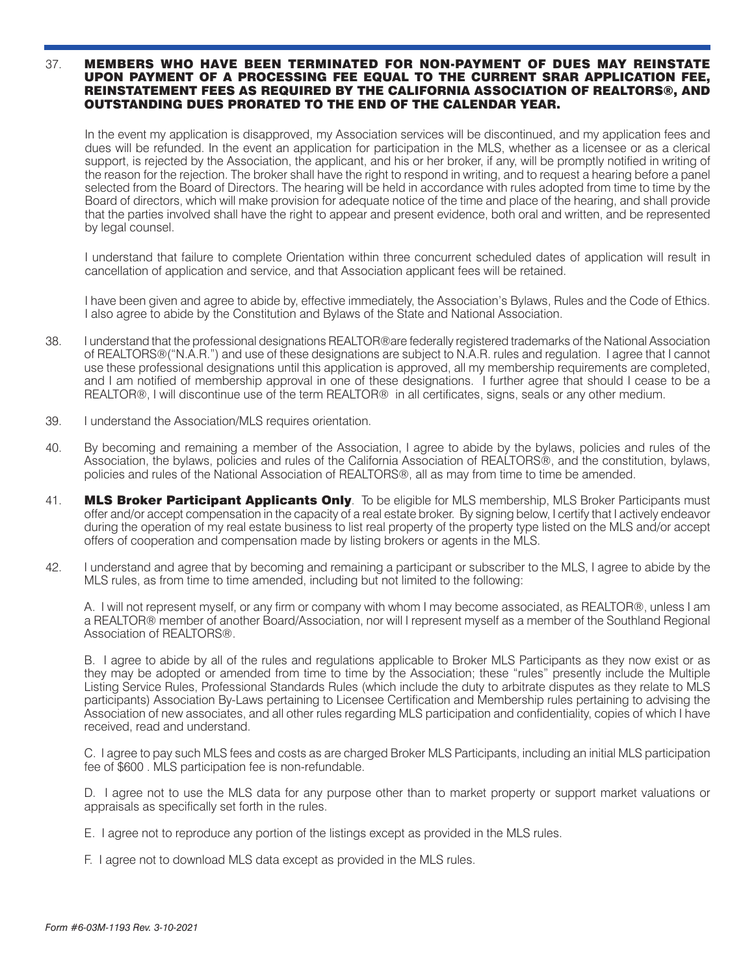#### 37. MEMBERS WHO HAVE BEEN TERMINATED FOR NON-PAYMENT OF DUES MAY REINSTATE UPON PAYMENT OF A PROCESSING FEE EQUAL TO THE CURRENT SRAR APPLICATION FEE, REINSTATEMENT FEES AS REQUIRED BY THE CALIFORNIA ASSOCIATION OF REALTORS®, AND OUTSTANDING DUES PRORATED TO THE END OF THE CALENDAR YEAR.

In the event my application is disapproved, my Association services will be discontinued, and my application fees and dues will be refunded. In the event an application for participation in the MLS, whether as a licensee or as a clerical support, is rejected by the Association, the applicant, and his or her broker, if any, will be promptly notified in writing of the reason for the rejection. The broker shall have the right to respond in writing, and to request a hearing before a panel selected from the Board of Directors. The hearing will be held in accordance with rules adopted from time to time by the Board of directors, which will make provision for adequate notice of the time and place of the hearing, and shall provide that the parties involved shall have the right to appear and present evidence, both oral and written, and be represented by legal counsel.

I understand that failure to complete Orientation within three concurrent scheduled dates of application will result in cancellation of application and service, and that Association applicant fees will be retained.

I have been given and agree to abide by, effective immediately, the Association's Bylaws, Rules and the Code of Ethics. I also agree to abide by the Constitution and Bylaws of the State and National Association.

- 38. I understand that the professional designations REALTOR®are federally registered trademarks of the National Association of REALTORS®("N.A.R.") and use of these designations are subject to N.A.R. rules and regulation. I agree that I cannot use these professional designations until this application is approved, all my membership requirements are completed, and I am notified of membership approval in one of these designations. I further agree that should I cease to be a REALTOR®, I will discontinue use of the term REALTOR® in all certificates, signs, seals or any other medium.
- 39. I understand the Association/MLS requires orientation.
- 40. By becoming and remaining a member of the Association, I agree to abide by the bylaws, policies and rules of the Association, the bylaws, policies and rules of the California Association of REALTORS®, and the constitution, bylaws, policies and rules of the National Association of REALTORS®, all as may from time to time be amended.
- 41. MLS Broker Participant Applicants Only. To be eligible for MLS membership, MLS Broker Participants must offer and/or accept compensation in the capacity of a real estate broker. By signing below, I certify that I actively endeavor during the operation of my real estate business to list real property of the property type listed on the MLS and/or accept offers of cooperation and compensation made by listing brokers or agents in the MLS.
- 42. I understand and agree that by becoming and remaining a participant or subscriber to the MLS, I agree to abide by the MLS rules, as from time to time amended, including but not limited to the following:

A. I will not represent myself, or any firm or company with whom I may become associated, as REALTOR®, unless I am a REALTOR® member of another Board/Association, nor will I represent myself as a member of the Southland Regional Association of REALTORS®.

B. I agree to abide by all of the rules and regulations applicable to Broker MLS Participants as they now exist or as they may be adopted or amended from time to time by the Association; these "rules" presently include the Multiple Listing Service Rules, Professional Standards Rules (which include the duty to arbitrate disputes as they relate to MLS participants) Association By-Laws pertaining to Licensee Certification and Membership rules pertaining to advising the Association of new associates, and all other rules regarding MLS participation and confidentiality, copies of which I have received, read and understand.

C. I agree to pay such MLS fees and costs as are charged Broker MLS Participants, including an initial MLS participation fee of \$600 . MLS participation fee is non-refundable.

D. I agree not to use the MLS data for any purpose other than to market property or support market valuations or appraisals as specifically set forth in the rules.

- E. I agree not to reproduce any portion of the listings except as provided in the MLS rules.
- F. I agree not to download MLS data except as provided in the MLS rules.